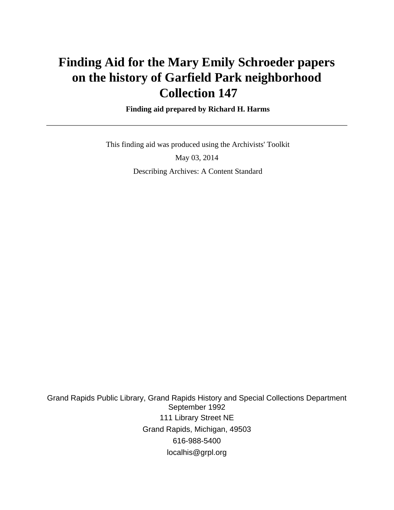# **Finding Aid for the Mary Emily Schroeder papers on the history of Garfield Park neighborhood Collection 147**

 **Finding aid prepared by Richard H. Harms**

 This finding aid was produced using the Archivists' Toolkit May 03, 2014 Describing Archives: A Content Standard

Grand Rapids Public Library, Grand Rapids History and Special Collections Department September 1992 111 Library Street NE Grand Rapids, Michigan, 49503 616-988-5400 localhis@grpl.org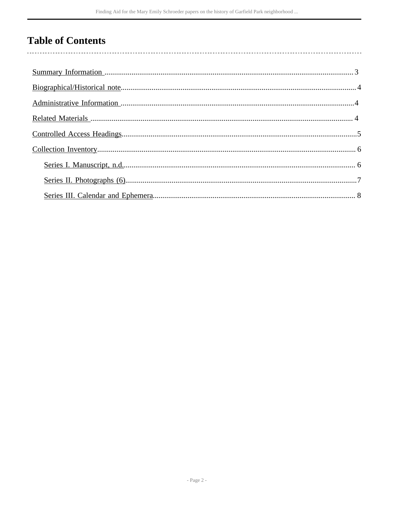## **Table of Contents**

 $\overline{\phantom{a}}$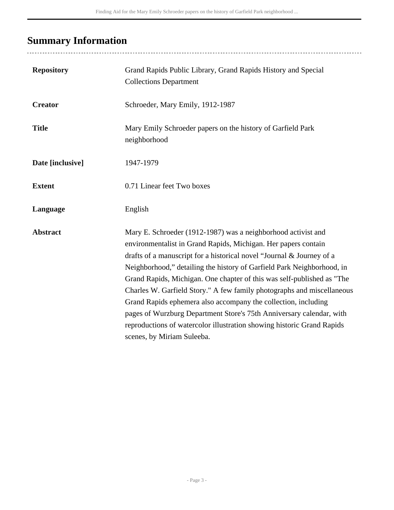## <span id="page-2-0"></span>**Summary Information**

| <b>Repository</b> | Grand Rapids Public Library, Grand Rapids History and Special<br><b>Collections Department</b>                                                                                                                                                                                                                                                                                                                                                                                                                                                                                                                                                                                           |
|-------------------|------------------------------------------------------------------------------------------------------------------------------------------------------------------------------------------------------------------------------------------------------------------------------------------------------------------------------------------------------------------------------------------------------------------------------------------------------------------------------------------------------------------------------------------------------------------------------------------------------------------------------------------------------------------------------------------|
| <b>Creator</b>    | Schroeder, Mary Emily, 1912-1987                                                                                                                                                                                                                                                                                                                                                                                                                                                                                                                                                                                                                                                         |
| <b>Title</b>      | Mary Emily Schroeder papers on the history of Garfield Park<br>neighborhood                                                                                                                                                                                                                                                                                                                                                                                                                                                                                                                                                                                                              |
| Date [inclusive]  | 1947-1979                                                                                                                                                                                                                                                                                                                                                                                                                                                                                                                                                                                                                                                                                |
| <b>Extent</b>     | 0.71 Linear feet Two boxes                                                                                                                                                                                                                                                                                                                                                                                                                                                                                                                                                                                                                                                               |
| Language          | English                                                                                                                                                                                                                                                                                                                                                                                                                                                                                                                                                                                                                                                                                  |
| <b>Abstract</b>   | Mary E. Schroeder (1912-1987) was a neighborhood activist and<br>environmentalist in Grand Rapids, Michigan. Her papers contain<br>drafts of a manuscript for a historical novel "Journal & Journey of a<br>Neighborhood," detailing the history of Garfield Park Neighborhood, in<br>Grand Rapids, Michigan. One chapter of this was self-published as "The<br>Charles W. Garfield Story." A few family photographs and miscellaneous<br>Grand Rapids ephemera also accompany the collection, including<br>pages of Wurzburg Department Store's 75th Anniversary calendar, with<br>reproductions of watercolor illustration showing historic Grand Rapids<br>scenes, by Miriam Suleeba. |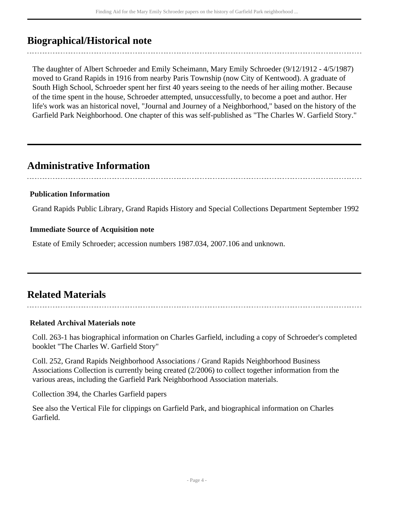### <span id="page-3-0"></span>**Biographical/Historical note**

The daughter of Albert Schroeder and Emily Scheimann, Mary Emily Schroeder (9/12/1912 - 4/5/1987) moved to Grand Rapids in 1916 from nearby Paris Township (now City of Kentwood). A graduate of South High School, Schroeder spent her first 40 years seeing to the needs of her ailing mother. Because of the time spent in the house, Schroeder attempted, unsuccessfully, to become a poet and author. Her life's work was an historical novel, "Journal and Journey of a Neighborhood," based on the history of the Garfield Park Neighborhood. One chapter of this was self-published as "The Charles W. Garfield Story."

### <span id="page-3-1"></span>**Administrative Information**

### **Publication Information**

Grand Rapids Public Library, Grand Rapids History and Special Collections Department September 1992

#### **Immediate Source of Acquisition note**

Estate of Emily Schroeder; accession numbers 1987.034, 2007.106 and unknown.

### <span id="page-3-2"></span>**Related Materials**

#### **Related Archival Materials note**

Coll. 263-1 has biographical information on Charles Garfield, including a copy of Schroeder's completed booklet "The Charles W. Garfield Story"

Coll. 252, Grand Rapids Neighborhood Associations / Grand Rapids Neighborhood Business Associations Collection is currently being created (2/2006) to collect together information from the various areas, including the Garfield Park Neighborhood Association materials.

Collection 394, the Charles Garfield papers

See also the Vertical File for clippings on Garfield Park, and biographical information on Charles Garfield.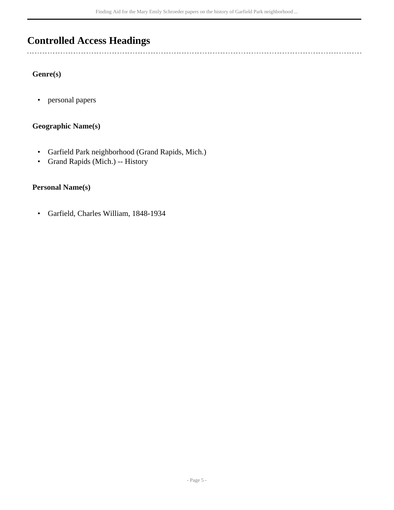### <span id="page-4-0"></span>**Controlled Access Headings**

#### **Genre(s)**

 $\overline{a}$ 

• personal papers

### **Geographic Name(s)**

- Garfield Park neighborhood (Grand Rapids, Mich.)
- Grand Rapids (Mich.) -- History

### **Personal Name(s)**

• Garfield, Charles William, 1848-1934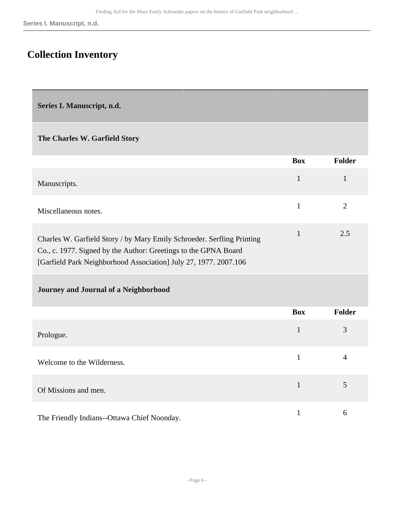### <span id="page-5-0"></span>**Collection Inventory**

<span id="page-5-1"></span>**Series I. Manuscript, n.d.** 

#### **The Charles W. Garfield Story**

|                                                                                                                                                                                                               | <b>Box</b> | <b>Folder</b> |
|---------------------------------------------------------------------------------------------------------------------------------------------------------------------------------------------------------------|------------|---------------|
| Manuscripts.                                                                                                                                                                                                  |            |               |
| Miscellaneous notes.                                                                                                                                                                                          |            |               |
| Charles W. Garfield Story / by Mary Emily Schroeder. Serfling Printing<br>Co., c. 1977. Signed by the Author: Greetings to the GPNA Board<br>[Garfield Park Neighborhood Association] July 27, 1977. 2007.106 |            | 2.5           |

#### **Journey and Journal of a Neighborhood**

|                                             | <b>Box</b> | <b>Folder</b>  |
|---------------------------------------------|------------|----------------|
| Prologue.                                   | 1          | 3              |
| Welcome to the Wilderness.                  |            | $\overline{4}$ |
| Of Missions and men.                        | 1          | 5              |
| The Friendly Indians--Ottawa Chief Noonday. |            | 6              |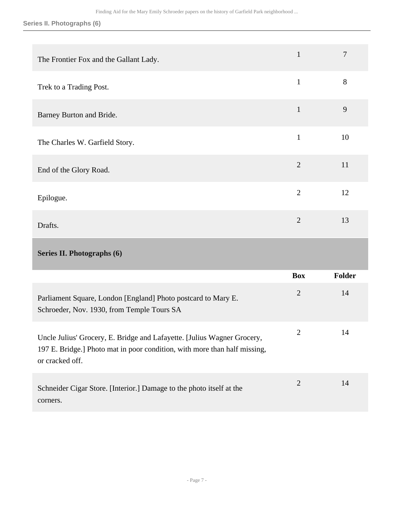### **Series II. Photographs (6)**

<span id="page-6-0"></span>

| The Frontier Fox and the Gallant Lady.                                                                                                                                  | $\mathbf{1}$   | $\overline{7}$ |
|-------------------------------------------------------------------------------------------------------------------------------------------------------------------------|----------------|----------------|
| Trek to a Trading Post.                                                                                                                                                 | $\mathbf{1}$   | 8              |
| Barney Burton and Bride.                                                                                                                                                | $\mathbf{1}$   | 9              |
| The Charles W. Garfield Story.                                                                                                                                          | $\mathbf{1}$   | 10             |
| End of the Glory Road.                                                                                                                                                  | $\overline{2}$ | 11             |
| Epilogue.                                                                                                                                                               | $\overline{2}$ | 12             |
| Drafts.                                                                                                                                                                 | $\overline{2}$ | 13             |
|                                                                                                                                                                         |                |                |
| Series II. Photographs (6)                                                                                                                                              |                |                |
|                                                                                                                                                                         | <b>Box</b>     | <b>Folder</b>  |
| Parliament Square, London [England] Photo postcard to Mary E.<br>Schroeder, Nov. 1930, from Temple Tours SA                                                             | $\overline{2}$ | 14             |
| Uncle Julius' Grocery, E. Bridge and Lafayette. [Julius Wagner Grocery,<br>197 E. Bridge.] Photo mat in poor condition, with more than half missing,<br>or cracked off. | 2              | 14             |